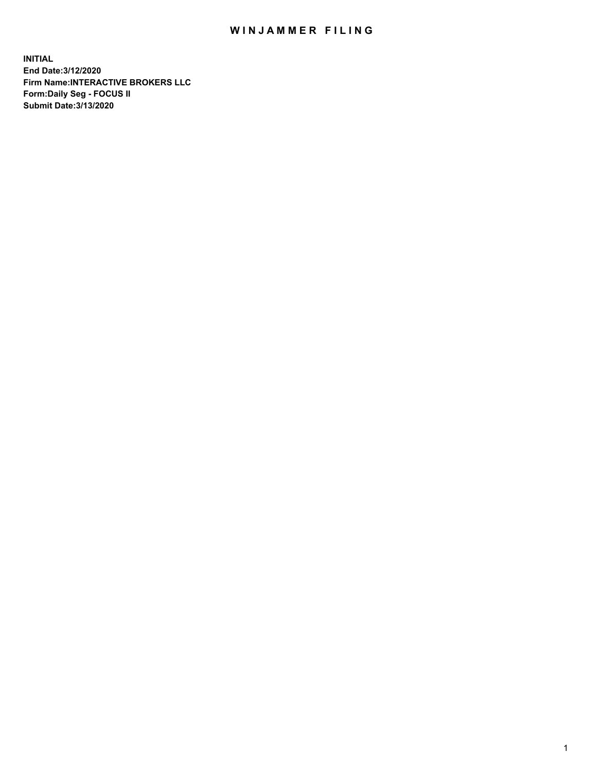## WIN JAMMER FILING

**INITIAL End Date:3/12/2020 Firm Name:INTERACTIVE BROKERS LLC Form:Daily Seg - FOCUS II Submit Date:3/13/2020**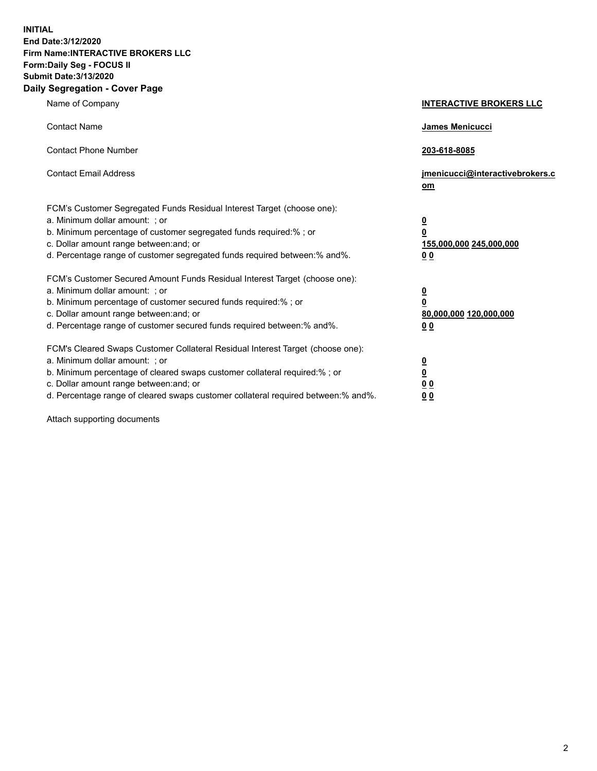**INITIAL End Date:3/12/2020 Firm Name:INTERACTIVE BROKERS LLC Form:Daily Seg - FOCUS II Submit Date:3/13/2020 Daily Segregation - Cover Page**

| Name of Company                                                                                                                                                                                                                                                                                                                | <b>INTERACTIVE BROKERS LLC</b>                                                   |
|--------------------------------------------------------------------------------------------------------------------------------------------------------------------------------------------------------------------------------------------------------------------------------------------------------------------------------|----------------------------------------------------------------------------------|
| <b>Contact Name</b>                                                                                                                                                                                                                                                                                                            | James Menicucci                                                                  |
| <b>Contact Phone Number</b>                                                                                                                                                                                                                                                                                                    | 203-618-8085                                                                     |
| <b>Contact Email Address</b>                                                                                                                                                                                                                                                                                                   | jmenicucci@interactivebrokers.c<br>om                                            |
| FCM's Customer Segregated Funds Residual Interest Target (choose one):<br>a. Minimum dollar amount: ; or<br>b. Minimum percentage of customer segregated funds required:% ; or<br>c. Dollar amount range between: and; or<br>d. Percentage range of customer segregated funds required between:% and%.                         | <u>0</u><br>$\overline{\mathbf{0}}$<br>155,000,000 245,000,000<br>0 <sub>0</sub> |
| FCM's Customer Secured Amount Funds Residual Interest Target (choose one):<br>a. Minimum dollar amount: ; or<br>b. Minimum percentage of customer secured funds required:% ; or<br>c. Dollar amount range between: and; or<br>d. Percentage range of customer secured funds required between:% and%.                           | <u>0</u><br>$\overline{\mathbf{0}}$<br>80,000,000 120,000,000<br>0 <sub>0</sub>  |
| FCM's Cleared Swaps Customer Collateral Residual Interest Target (choose one):<br>a. Minimum dollar amount: ; or<br>b. Minimum percentage of cleared swaps customer collateral required:% ; or<br>c. Dollar amount range between: and; or<br>d. Percentage range of cleared swaps customer collateral required between:% and%. | <u>0</u><br>$\underline{\mathbf{0}}$<br>0 <sub>0</sub><br>0 <sub>0</sub>         |

Attach supporting documents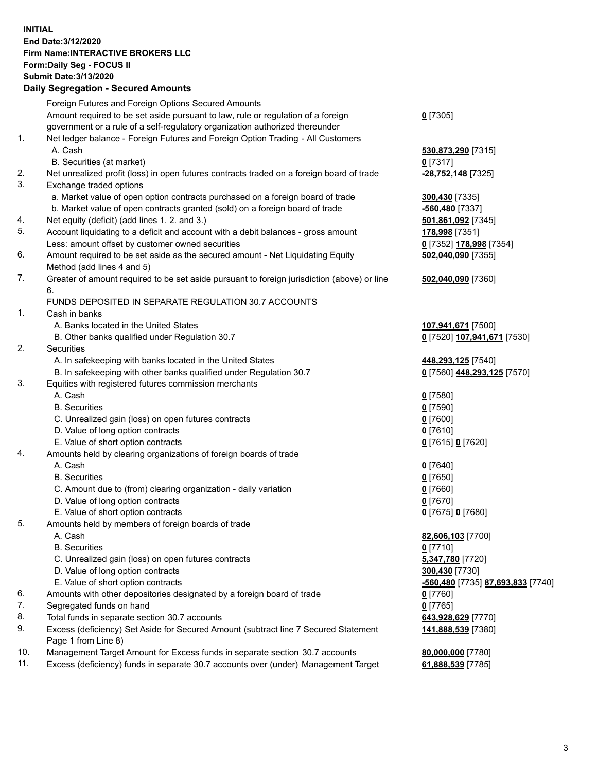**INITIAL End Date:3/12/2020 Firm Name:INTERACTIVE BROKERS LLC Form:Daily Seg - FOCUS II Submit Date:3/13/2020 Daily Segregation - Secured Amounts**

|                | Daily Jegregation - Jeculed Aniounts                                                                                                                              |                                   |
|----------------|-------------------------------------------------------------------------------------------------------------------------------------------------------------------|-----------------------------------|
|                | Foreign Futures and Foreign Options Secured Amounts                                                                                                               |                                   |
|                | Amount required to be set aside pursuant to law, rule or regulation of a foreign                                                                                  | $0$ [7305]                        |
|                | government or a rule of a self-regulatory organization authorized thereunder                                                                                      |                                   |
| 1.             | Net ledger balance - Foreign Futures and Foreign Option Trading - All Customers                                                                                   |                                   |
|                | A. Cash                                                                                                                                                           | 530,873,290 [7315]                |
|                | B. Securities (at market)                                                                                                                                         | $0$ [7317]                        |
| 2.             | Net unrealized profit (loss) in open futures contracts traded on a foreign board of trade                                                                         | -28,752,148 [7325]                |
| 3.             | Exchange traded options                                                                                                                                           |                                   |
|                | a. Market value of open option contracts purchased on a foreign board of trade                                                                                    | 300,430 [7335]                    |
|                | b. Market value of open contracts granted (sold) on a foreign board of trade                                                                                      | -560,480 [7337]                   |
| 4.             | Net equity (deficit) (add lines 1. 2. and 3.)                                                                                                                     | 501,861,092 [7345]                |
| 5.             | Account liquidating to a deficit and account with a debit balances - gross amount                                                                                 | 178,998 [7351]                    |
|                | Less: amount offset by customer owned securities                                                                                                                  | 0 [7352] 178,998 [7354]           |
| 6.             | Amount required to be set aside as the secured amount - Net Liquidating Equity                                                                                    | 502,040,090 [7355]                |
|                | Method (add lines 4 and 5)                                                                                                                                        |                                   |
| 7.             | Greater of amount required to be set aside pursuant to foreign jurisdiction (above) or line                                                                       | 502,040,090 [7360]                |
|                | 6.                                                                                                                                                                |                                   |
|                | FUNDS DEPOSITED IN SEPARATE REGULATION 30.7 ACCOUNTS                                                                                                              |                                   |
| $\mathbf{1}$ . | Cash in banks                                                                                                                                                     |                                   |
|                | A. Banks located in the United States                                                                                                                             | 107,941,671 [7500]                |
|                | B. Other banks qualified under Regulation 30.7                                                                                                                    | 0 [7520] 107,941,671 [7530]       |
| 2.             | Securities                                                                                                                                                        |                                   |
|                | A. In safekeeping with banks located in the United States                                                                                                         | 448,293,125 [7540]                |
|                | B. In safekeeping with other banks qualified under Regulation 30.7                                                                                                | 0 [7560] 448,293,125 [7570]       |
| 3.             | Equities with registered futures commission merchants                                                                                                             |                                   |
|                | A. Cash                                                                                                                                                           | $0$ [7580]                        |
|                | <b>B.</b> Securities                                                                                                                                              | $0$ [7590]                        |
|                | C. Unrealized gain (loss) on open futures contracts                                                                                                               | $0$ [7600]                        |
|                | D. Value of long option contracts                                                                                                                                 | $0$ [7610]                        |
|                | E. Value of short option contracts                                                                                                                                | 0 [7615] 0 [7620]                 |
| 4.             | Amounts held by clearing organizations of foreign boards of trade                                                                                                 |                                   |
|                | A. Cash                                                                                                                                                           | $0$ [7640]                        |
|                | <b>B.</b> Securities                                                                                                                                              | $0$ [7650]                        |
|                | C. Amount due to (from) clearing organization - daily variation                                                                                                   | $0$ [7660]                        |
|                | D. Value of long option contracts                                                                                                                                 | $0$ [7670]                        |
|                | E. Value of short option contracts                                                                                                                                | 0 [7675] 0 [7680]                 |
| 5.             | Amounts held by members of foreign boards of trade                                                                                                                |                                   |
|                | A. Cash                                                                                                                                                           | 82,606,103 [7700]                 |
|                | <b>B.</b> Securities                                                                                                                                              | $0$ [7710]                        |
|                | C. Unrealized gain (loss) on open futures contracts                                                                                                               | 5,347,780 [7720]                  |
|                | D. Value of long option contracts                                                                                                                                 | 300,430 [7730]                    |
|                | E. Value of short option contracts                                                                                                                                | -560,480 [7735] 87,693,833 [7740] |
| 6.             | Amounts with other depositories designated by a foreign board of trade                                                                                            | 0 [7760]                          |
| 7.             | Segregated funds on hand                                                                                                                                          | $0$ [7765]                        |
| 8.             | Total funds in separate section 30.7 accounts                                                                                                                     | 643,928,629 [7770]                |
| 9.             | Excess (deficiency) Set Aside for Secured Amount (subtract line 7 Secured Statement                                                                               | 141,888,539 [7380]                |
| 10.            | Page 1 from Line 8)                                                                                                                                               |                                   |
| 11.            | Management Target Amount for Excess funds in separate section 30.7 accounts<br>Excess (deficiency) funds in separate 30.7 accounts over (under) Management Target | 80,000,000 [7780]                 |
|                |                                                                                                                                                                   | 61,888,539 [7785]                 |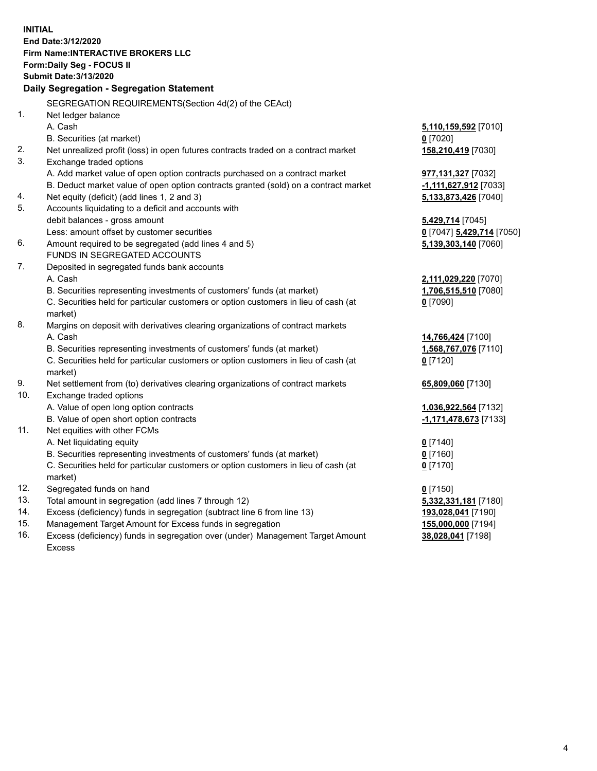**INITIAL End Date:3/12/2020 Firm Name:INTERACTIVE BROKERS LLC Form:Daily Seg - FOCUS II Submit Date:3/13/2020 Daily Segregation - Segregation Statement** SEGREGATION REQUIREMENTS(Section 4d(2) of the CEAct) 1. Net ledger balance A. Cash **5,110,159,592** [7010] B. Securities (at market) **0** [7020] 2. Net unrealized profit (loss) in open futures contracts traded on a contract market **158,210,419** [7030] 3. Exchange traded options A. Add market value of open option contracts purchased on a contract market **977,131,327** [7032] B. Deduct market value of open option contracts granted (sold) on a contract market **-1,111,627,912** [7033] 4. Net equity (deficit) (add lines 1, 2 and 3) **5,133,873,426** [7040] 5. Accounts liquidating to a deficit and accounts with debit balances - gross amount **5,429,714** [7045] Less: amount offset by customer securities **0** [7047] **5,429,714** [7050] 6. Amount required to be segregated (add lines 4 and 5) **5,139,303,140** [7060] FUNDS IN SEGREGATED ACCOUNTS 7. Deposited in segregated funds bank accounts A. Cash **2,111,029,220** [7070] B. Securities representing investments of customers' funds (at market) **1,706,515,510** [7080] C. Securities held for particular customers or option customers in lieu of cash (at market) **0** [7090] 8. Margins on deposit with derivatives clearing organizations of contract markets A. Cash **14,766,424** [7100] B. Securities representing investments of customers' funds (at market) **1,568,767,076** [7110] C. Securities held for particular customers or option customers in lieu of cash (at market) **0** [7120] 9. Net settlement from (to) derivatives clearing organizations of contract markets **65,809,060** [7130] 10. Exchange traded options A. Value of open long option contracts **1,036,922,564** [7132] B. Value of open short option contracts **-1,171,478,673** [7133] 11. Net equities with other FCMs A. Net liquidating equity **0** [7140] B. Securities representing investments of customers' funds (at market) **0** [7160] C. Securities held for particular customers or option customers in lieu of cash (at market) **0** [7170] 12. Segregated funds on hand **0** [7150] 13. Total amount in segregation (add lines 7 through 12) **5,332,331,181** [7180] 14. Excess (deficiency) funds in segregation (subtract line 6 from line 13) **193,028,041** [7190] 15. Management Target Amount for Excess funds in segregation **155,000,000** [7194]

16. Excess (deficiency) funds in segregation over (under) Management Target Amount Excess

**38,028,041** [7198]